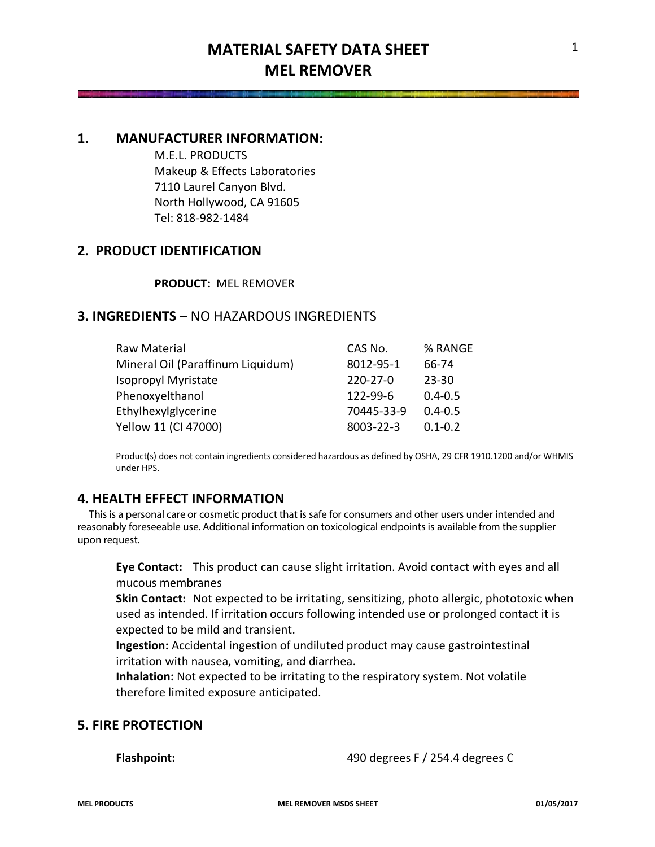## **1. MANUFACTURER INFORMATION:**

M.E.L. PRODUCTS Makeup & Effects Laboratories 7110 Laurel Canyon Blvd. North Hollywood, CA 91605 Tel: 818-982-1484

## **2. PRODUCT IDENTIFICATION**

#### **PRODUCT:** MEL REMOVER

### **3. INGREDIENTS –** NO HAZARDOUS INGREDIENTS

| Raw Material                      | CAS No.        | % RANGE     |
|-----------------------------------|----------------|-------------|
| Mineral Oil (Paraffinum Liquidum) | 8012-95-1      | 66-74       |
| <b>Isopropyl Myristate</b>        | $220 - 27 - 0$ | $23 - 30$   |
| Phenoxyelthanol                   | 122-99-6       | $0.4 - 0.5$ |
| Ethylhexylglycerine               | 70445-33-9     | $0.4 - 0.5$ |
| Yellow 11 (CI 47000)              | 8003-22-3      | $0.1 - 0.2$ |

Product(s) does not contain ingredients considered hazardous as defined by OSHA, 29 CFR 1910.1200 and/or WHMIS under HPS.

# **4. HEALTH EFFECT INFORMATION**

 This is a personal care or cosmetic product that is safe for consumers and other users under intended and reasonably foreseeable use. Additional information on toxicological endpoints is available from the supplier upon request.

**Eye Contact:** This product can cause slight irritation. Avoid contact with eyes and all mucous membranes

**Skin Contact:** Not expected to be irritating, sensitizing, photo allergic, phototoxic when used as intended. If irritation occurs following intended use or prolonged contact it is expected to be mild and transient.

**Ingestion:** Accidental ingestion of undiluted product may cause gastrointestinal irritation with nausea, vomiting, and diarrhea.

**Inhalation:** Not expected to be irritating to the respiratory system. Not volatile therefore limited exposure anticipated.

## **5. FIRE PROTECTION**

**Flashpoint:** 490 degrees F / 254.4 degrees C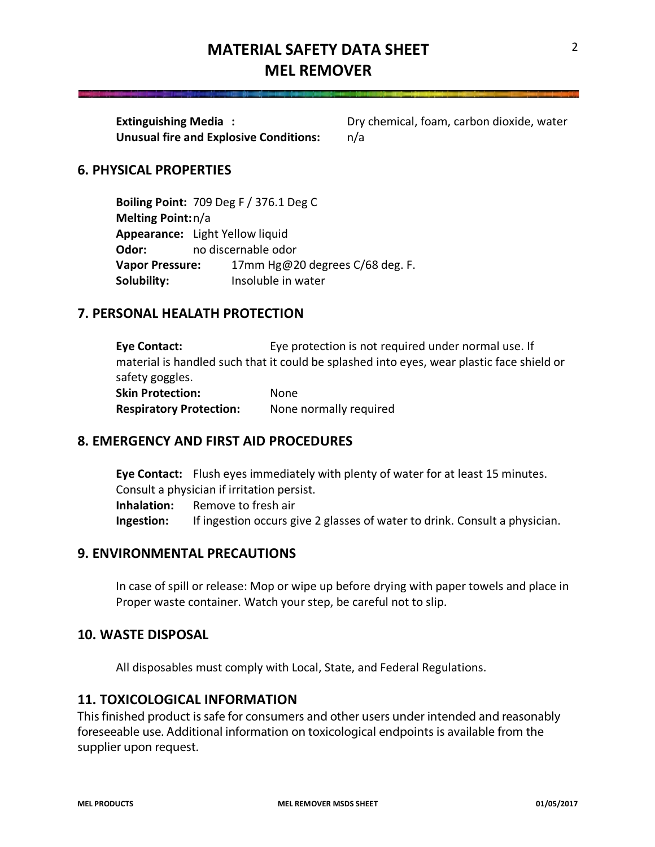# **MATERIAL SAFETY DATA SHEET MEL REMOVER**

**Unusual fire and Explosive Conditions:** n/a

**Extinguishing Media :** Dry chemical, foam, carbon dioxide, water

### **6. PHYSICAL PROPERTIES**

**Boiling Point:** 709 Deg F / 376.1 Deg C **Melting Point:**n/a **Appearance:** Light Yellow liquid **Odor:** no discernable odor **Vapor Pressure:** 17mm Hg@20 degrees C/68 deg. F. **Solubility:** Insoluble in water

# **7. PERSONAL HEALATH PROTECTION**

**Eye Contact:** Eye protection is not required under normal use. If material is handled such that it could be splashed into eyes, wear plastic face shield or safety goggles. **Skin Protection:** None **Respiratory Protection:** None normally required

### **8. EMERGENCY AND FIRST AID PROCEDURES**

**Eye Contact:** Flush eyes immediately with plenty of water for at least 15 minutes. Consult a physician if irritation persist. **Inhalation:** Remove to fresh air **Ingestion:** If ingestion occurs give 2 glasses of water to drink. Consult a physician.

## **9. ENVIRONMENTAL PRECAUTIONS**

In case of spill or release: Mop or wipe up before drying with paper towels and place in Proper waste container. Watch your step, be careful not to slip.

#### **10. WASTE DISPOSAL**

All disposables must comply with Local, State, and Federal Regulations.

#### **11. TOXICOLOGICAL INFORMATION**

This finished product is safe for consumers and other users under intended and reasonably foreseeable use. Additional information on toxicological endpoints is available from the supplier upon request.